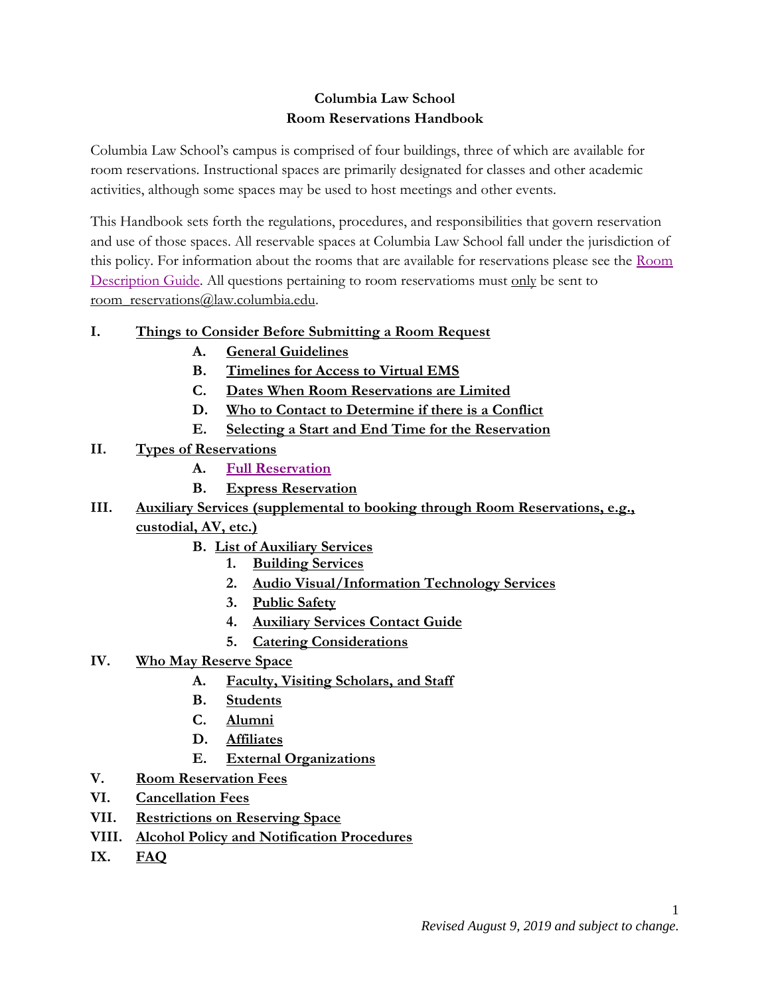# **Columbia Law School Room Reservations Handbook**

Columbia Law School's campus is comprised of four buildings, three of which are available for room reservations. Instructional spaces are primarily designated for classes and other academic activities, although some spaces may be used to host meetings and other events.

This Handbook sets forth the regulations, procedures, and responsibilities that govern reservation and use of those spaces. All reservable spaces at Columbia Law School fall under the jurisdiction of this policy. For information about the rooms that are available for reservations please see the [Room](http://www.law.columbia.edu/room-reservations)  [Description Guide.](http://www.law.columbia.edu/room-reservations) All questions pertaining to room reservatioms must only be sent to [room\\_reservations@law.columbia.edu.](mailto:room_reservations@law.columbia.edu)

# **I. [Things to Consider Before Submitting a Room Request](#page-1-0)**

- **A. [General Guidelines](#page-1-1)**
- **B. [Timelines for Access to Virtual EMS](#page-2-0)**
- **C. [Dates When Room Reservations are Limited](#page-2-1)**
- **D. [Who to Contact to Determine if there is a Conflict](#page-3-0)**
- **E. [Selecting a Start and End Time for the Reservation](#page-3-1)**
- **II. [Types of Reservations](#page-4-0)**
	- **A. [Full Reservation](#page-4-1)**
	- **B. [Express Reservation](#page-4-2)**
- **III. [Auxiliary Services \(supplemental to booking through Room Reservations, e.g.,](#page-5-0)  [custodial, AV,](#page-5-0) etc.)**
	- **B. [List of Auxiliary Services](#page-5-1)**
		- **1. [Building Services](#page-5-2)**
		- **2. [Audio Visual/Information Technology Services](#page-5-3)**
		- **3. [Public Safety](#page-5-4)**
		- **4. [Auxiliary Services Contact Guide](#page-5-5)**
		- **5. [Catering Considerations](#page-6-0)**
- **IV. [Who May Reserve Space](#page-7-0)**
	- **A. [Faculty, Visiting Scholars,](#page-7-1) and Staff**
	- **B. [Students](#page-7-2)**
	- **C. [Alumni](#page-8-0)**
	- **D. [Affiliates](#page-8-1)**
	- **E. [External Organizations](#page-8-2)**
- **V. [Room Reservation Fees](#page-9-0)**
- **VI. [Cancellation Fees](#page-10-0)**
- **VII. [Restrictions on Reserving Space](#page-10-1)**
- **VIII. [Alcohol Policy and Notification Procedures](#page-10-2)**
- **IX. [FAQ](#page-12-0)**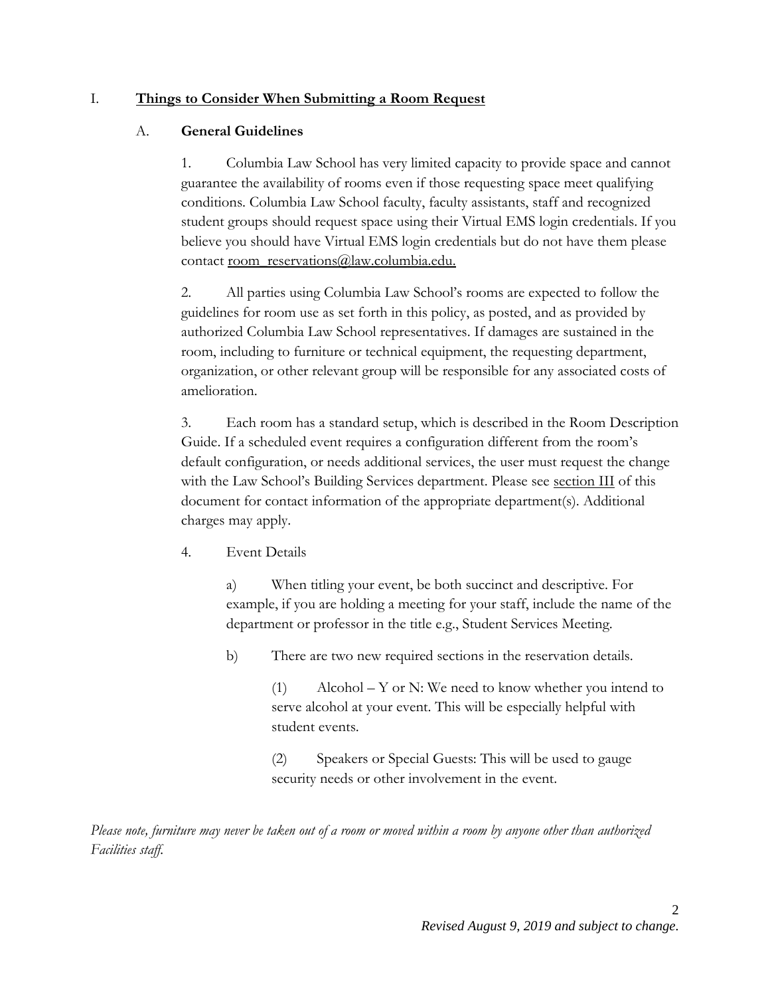#### <span id="page-1-1"></span><span id="page-1-0"></span>I. **Things to Consider When Submitting a Room Request**

#### A. **General Guidelines**

1. Columbia Law School has very limited capacity to provide space and cannot guarantee the availability of rooms even if those requesting space meet qualifying conditions. Columbia Law School faculty, faculty assistants, staff and recognized student groups should request space using their Virtual EMS login credentials. If you believe you should have Virtual EMS login credentials but do not have them please contact [room\\_reservations@law.columbia.edu.](mailto:room_reservations@law.columbia.edu)

2. All parties using Columbia Law School's rooms are expected to follow the guidelines for room use as set forth in this policy, as posted, and as provided by authorized Columbia Law School representatives. If damages are sustained in the room, including to furniture or technical equipment, the requesting department, organization, or other relevant group will be responsible for any associated costs of amelioration.

3. Each room has a standard setup, which is described in the Room Description Guide. If a scheduled event requires a configuration different from the room's default configuration, or needs additional services, the user must request the change with the Law School's Building Services department. Please see [section III](#page-5-0) of this document for contact information of the appropriate department(s). Additional charges may apply.

4. Event Details

a) When titling your event, be both succinct and descriptive. For example, if you are holding a meeting for your staff, include the name of the department or professor in the title e.g., Student Services Meeting.

b) There are two new required sections in the reservation details.

(1) Alcohol – Y or N: We need to know whether you intend to serve alcohol at your event. This will be especially helpful with student events.

(2) Speakers or Special Guests: This will be used to gauge security needs or other involvement in the event.

*Please note, furniture may never be taken out of a room or moved within a room by anyone other than authorized Facilities staff.*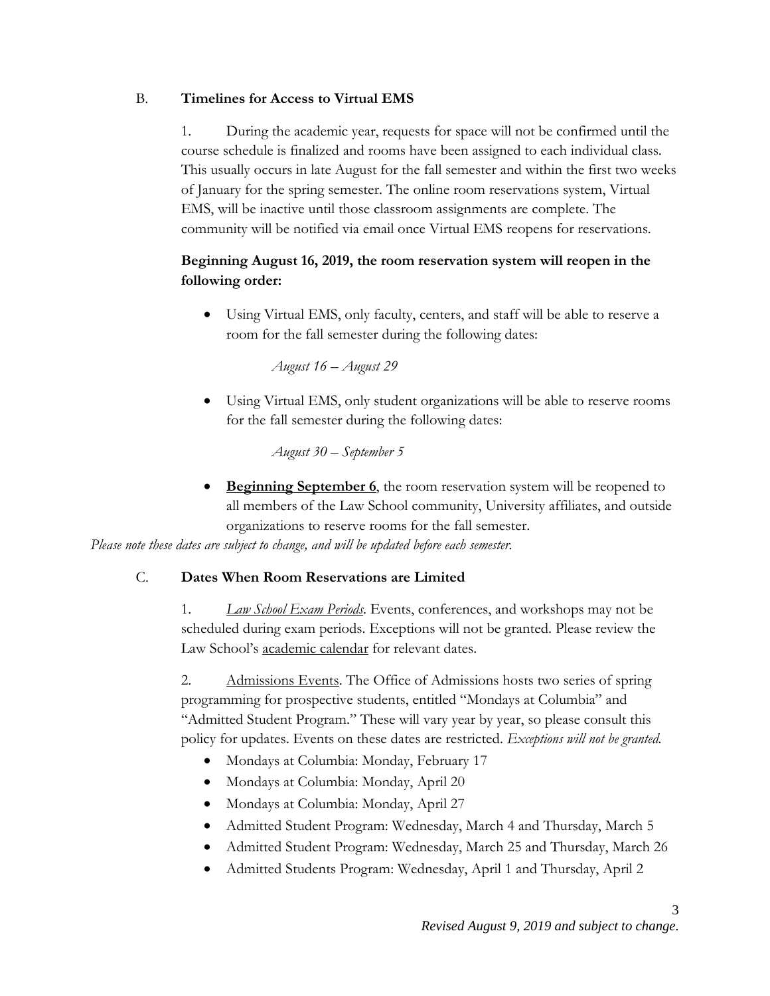# <span id="page-2-0"></span>B. **Timelines for Access to Virtual EMS**

1. During the academic year, requests for space will not be confirmed until the course schedule is finalized and rooms have been assigned to each individual class. This usually occurs in late August for the fall semester and within the first two weeks of January for the spring semester. The online room reservations system, Virtual EMS, will be inactive until those classroom assignments are complete. The community will be notified via email once Virtual EMS reopens for reservations.

# **Beginning August 16, 2019, the room reservation system will reopen in the following order:**

 Using Virtual EMS, only faculty, centers, and staff will be able to reserve a room for the fall semester during the following dates:

*August 16 – August 29*

 Using Virtual EMS, only student organizations will be able to reserve rooms for the fall semester during the following dates:

*August 30 – September 5*

**Beginning September 6**, the room reservation system will be reopened to all members of the Law School community, University affiliates, and outside organizations to reserve rooms for the fall semester.

<span id="page-2-1"></span>*Please note these dates are subject to change, and will be updated before each semester.*

### C. **Dates When Room Reservations are Limited**

1. *Law School Exam Periods*. Events, conferences, and workshops may not be scheduled during exam periods. Exceptions will not be granted. Please review the Law School's [academic calendar](https://www.law.columbia.edu/academic-calendar) for relevant dates.

2. Admissions Events. The Office of Admissions hosts two series of spring programming for prospective students, entitled "Mondays at Columbia" and "Admitted Student Program." These will vary year by year, so please consult this policy for updates. Events on these dates are restricted. *Exceptions will not be granted.*

- Mondays at Columbia: Monday, February 17
- $\bullet$  Mondays at Columbia: Monday, April 20
- Mondays at Columbia: Monday, April 27
- Admitted Student Program: Wednesday, March 4 and Thursday, March 5
- Admitted Student Program: Wednesday, March 25 and Thursday, March 26
- Admitted Students Program: Wednesday, April 1 and Thursday, April 2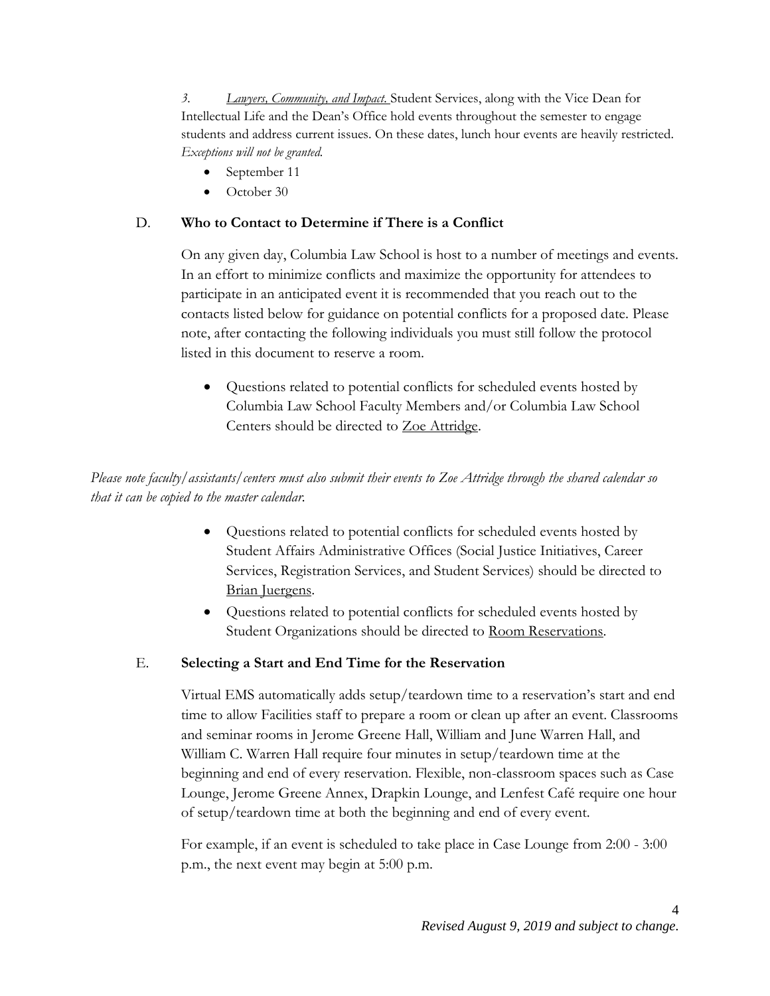*3. Lawyers, Community, and Impact.* Student Services, along with the Vice Dean for Intellectual Life and the Dean's Office hold events throughout the semester to engage students and address current issues. On these dates, lunch hour events are heavily restricted. *Exceptions will not be granted.*

- September 11
- October 30

## <span id="page-3-0"></span>D. **Who to Contact to Determine if There is a Conflict**

On any given day, Columbia Law School is host to a number of meetings and events. In an effort to minimize conflicts and maximize the opportunity for attendees to participate in an anticipated event it is recommended that you reach out to the contacts listed below for guidance on potential conflicts for a proposed date. Please note, after contacting the following individuals you must still follow the protocol listed in this document to reserve a room.

 Questions related to potential conflicts for scheduled events hosted by Columbia Law School Faculty Members and/or Columbia Law School Centers should be directed to [Zoe Attridge.](mailto:zattridge@law.columbia.edu)

*Please note faculty/assistants/centers must also submit their events to Zoe Attridge through the shared calendar so that it can be copied to the master calendar.*

- Questions related to potential conflicts for scheduled events hosted by Student Affairs Administrative Offices (Social Justice Initiatives, Career Services, Registration Services, and Student Services) should be directed to [Brian Juergens.](mailto:bjuerg@law.columbia.edu)
- Questions related to potential conflicts for scheduled events hosted by Student Organizations should be directed to [Room Reservations.](mailto:room_reservations@law.columbia.edu)

### <span id="page-3-1"></span>E. **Selecting a Start and End Time for the Reservation**

Virtual EMS automatically adds setup/teardown time to a reservation's start and end time to allow Facilities staff to prepare a room or clean up after an event. Classrooms and seminar rooms in Jerome Greene Hall, William and June Warren Hall, and William C. Warren Hall require four minutes in setup/teardown time at the beginning and end of every reservation. Flexible, non-classroom spaces such as Case Lounge, Jerome Greene Annex, Drapkin Lounge, and Lenfest Café require one hour of setup/teardown time at both the beginning and end of every event.

For example, if an event is scheduled to take place in Case Lounge from 2:00 - 3:00 p.m., the next event may begin at 5:00 p.m.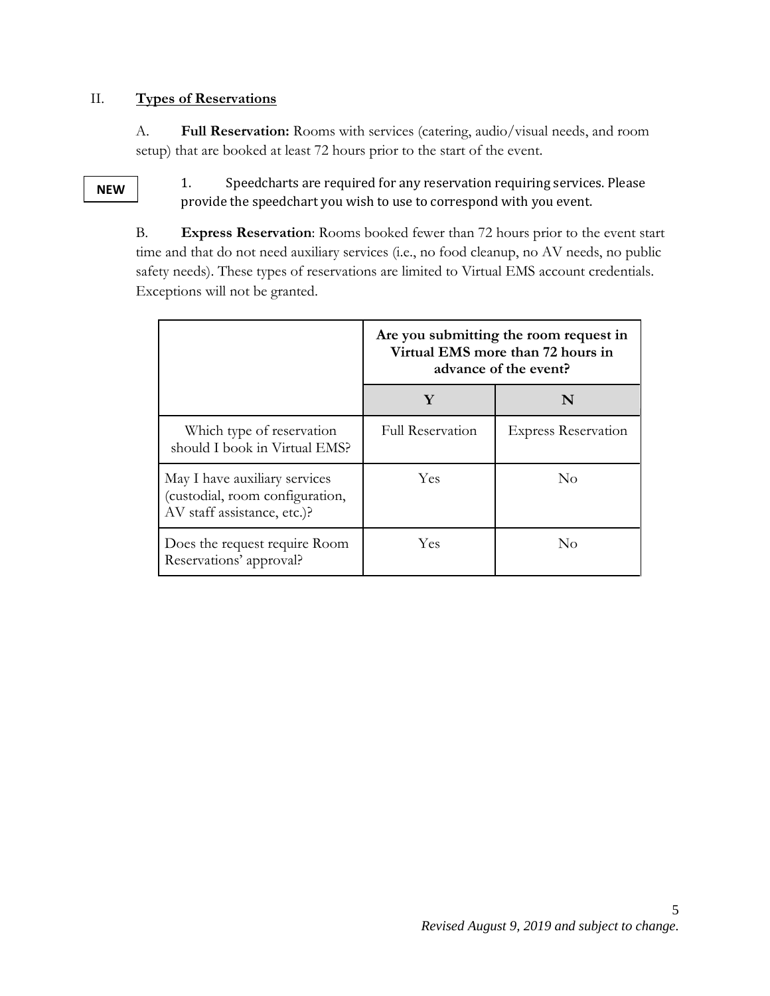### <span id="page-4-1"></span><span id="page-4-0"></span>II. **Types of Reservations**

A. **Full Reservation:** Rooms with services (catering, audio/visual needs, and room setup) that are booked at least 72 hours prior to the start of the event.

#### <span id="page-4-2"></span>**NEW**

1. Speedcharts are required for any reservation requiring services. Please provide the speedchart you wish to use to correspond with you event.

B. **Express Reservation**: Rooms booked fewer than 72 hours prior to the event start time and that do not need auxiliary services (i.e., no food cleanup, no AV needs, no public safety needs). These types of reservations are limited to Virtual EMS account credentials. Exceptions will not be granted.

|                                                                                                 | Are you submitting the room request in<br>Virtual EMS more than 72 hours in<br>advance of the event? |                            |
|-------------------------------------------------------------------------------------------------|------------------------------------------------------------------------------------------------------|----------------------------|
|                                                                                                 | Y                                                                                                    | N                          |
| Which type of reservation<br>should I book in Virtual EMS?                                      | <b>Full Reservation</b>                                                                              | <b>Express Reservation</b> |
| May I have auxiliary services<br>(custodial, room configuration,<br>AV staff assistance, etc.)? | Yes                                                                                                  | $\rm No$                   |
| Does the request require Room<br>Reservations' approval?                                        | Yes                                                                                                  | $\rm No$                   |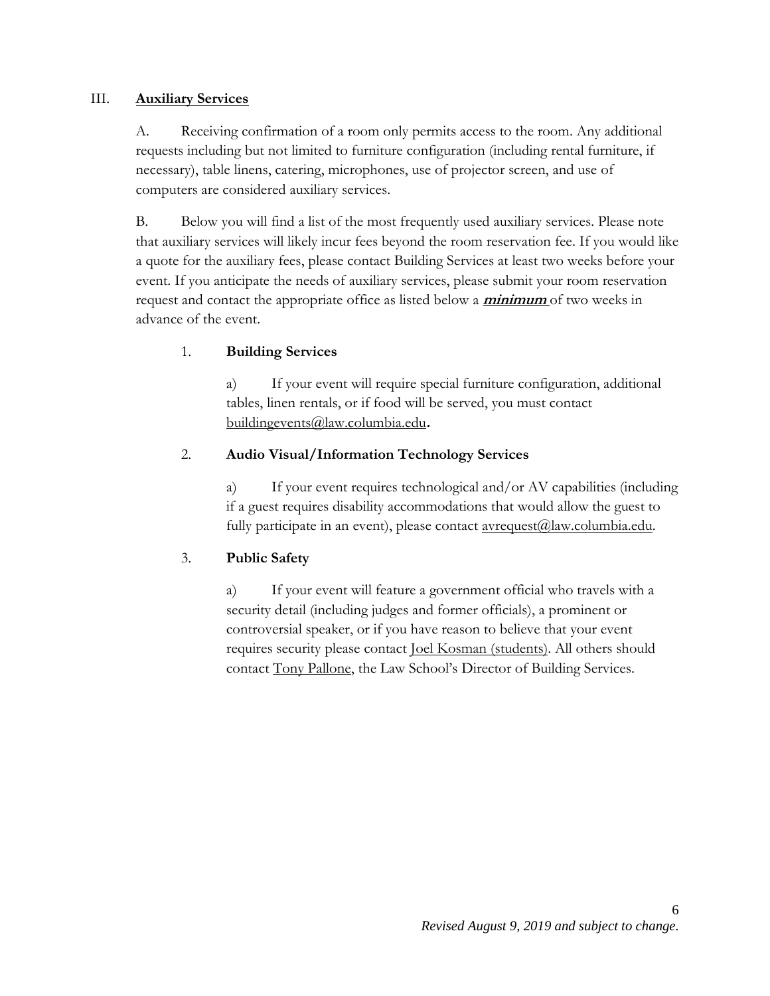#### <span id="page-5-0"></span>III. **Auxiliary Services**

A. Receiving confirmation of a room only permits access to the room. Any additional requests including but not limited to furniture configuration (including rental furniture, if necessary), table linens, catering, microphones, use of projector screen, and use of computers are considered auxiliary services.

<span id="page-5-1"></span>B. Below you will find a list of the most frequently used auxiliary services. Please note that auxiliary services will likely incur fees beyond the room reservation fee. If you would like a quote for the auxiliary fees, please contact Building Services at least two weeks before your event. If you anticipate the needs of auxiliary services, please submit your room reservation request and contact the appropriate office as listed below a **minimum** of two weeks in advance of the event.

# <span id="page-5-2"></span>1. **Building Services**

a) If your event will require special furniture configuration, additional tables, linen rentals, or if food will be served, you must contact [buildingevents@law.columbia.edu](mailto:buildingevents@law.columbia.edu)**.** 

### <span id="page-5-3"></span>2. **Audio Visual/Information Technology Services**

a) If your event requires technological and/or AV capabilities (including if a guest requires disability accommodations that would allow the guest to fully participate in an event), please contact  $\frac{\text{average}(a)}{\text{law.columbia.edu}}$ .

### <span id="page-5-5"></span><span id="page-5-4"></span>3. **Public Safety**

a) If your event will feature a government official who travels with a security detail (including judges and former officials), a prominent or controversial speaker, or if you have reason to believe that your event requires security please contact [Joel Kosman](mailto:jkosma@law.columbia.edu) (students). All others should contact [Tony Pallone,](mailto:apallo@law.columbia.edu) the Law School's Director of Building Services.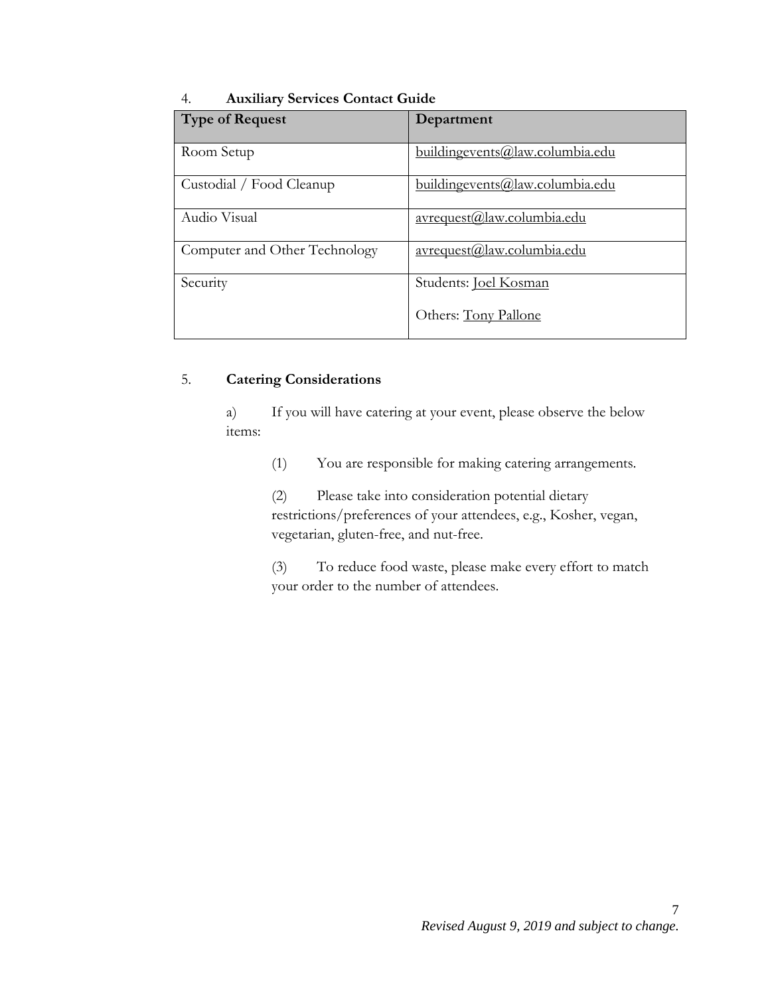#### 4. **Auxiliary Services Contact Guide**

| Type of Request               | Department                             |
|-------------------------------|----------------------------------------|
|                               |                                        |
| Room Setup                    | buildingevents@law.columbia.edu        |
|                               |                                        |
| Custodial / Food Cleanup      | <u>buildingevents@law.columbia.edu</u> |
| Audio Visual                  | avrequest@law.columbia.edu             |
|                               |                                        |
| Computer and Other Technology | avrequest@law.columbia.edu             |
|                               |                                        |
| Security                      | Students: <b>Joel Kosman</b>           |
|                               |                                        |
|                               | Others: Tony Pallone                   |
|                               |                                        |

### <span id="page-6-0"></span>5. **Catering Considerations**

a) If you will have catering at your event, please observe the below items:

(1) You are responsible for making catering arrangements.

(2) Please take into consideration potential dietary restrictions/preferences of your attendees, e.g., Kosher, vegan, vegetarian, gluten-free, and nut-free.

(3) To reduce food waste, please make every effort to match your order to the number of attendees.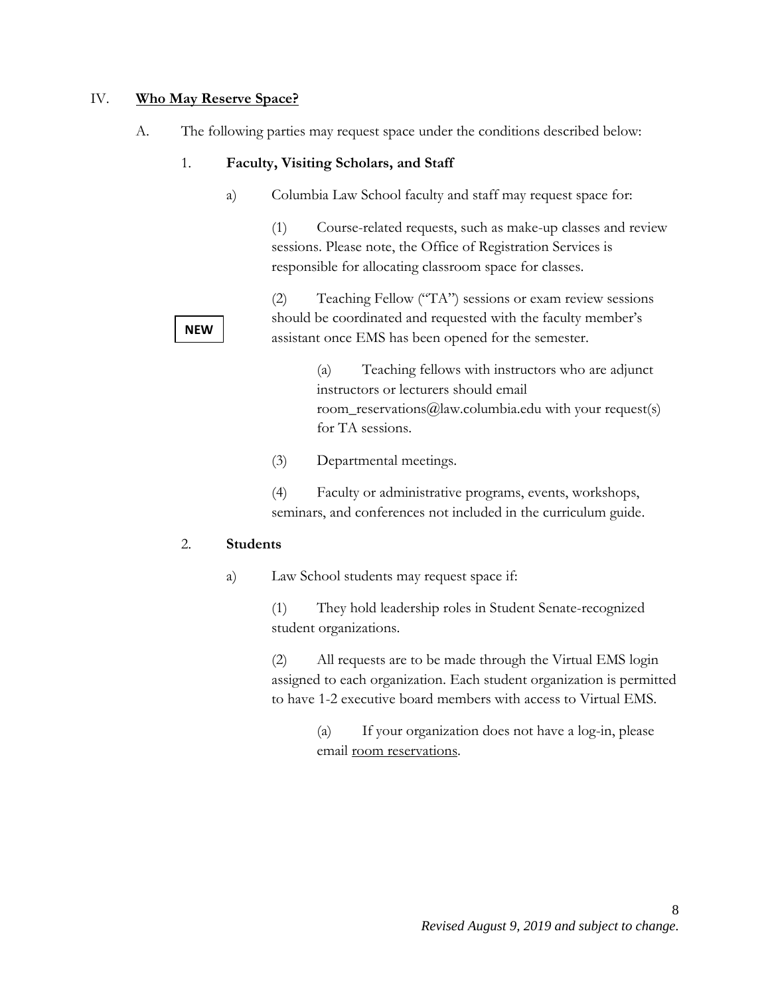#### <span id="page-7-1"></span><span id="page-7-0"></span>IV. **Who May Reserve Space?**

A. The following parties may request space under the conditions described below:

#### 1. **Faculty, Visiting Scholars, and Staff**

a) Columbia Law School faculty and staff may request space for:

(1) Course-related requests, such as make-up classes and review sessions. Please note, the Office of Registration Services is responsible for allocating classroom space for classes.

(2) Teaching Fellow ("TA") sessions or exam review sessions should be coordinated and requested with the faculty member's assistant once EMS has been opened for the semester.

> (a) Teaching fellows with instructors who are adjunct instructors or lecturers should email room\_reservations@law.columbia.edu with your request(s) for TA sessions.

(3) Departmental meetings.

(4) Faculty or administrative programs, events, workshops, seminars, and conferences not included in the curriculum guide.

#### <span id="page-7-2"></span>2. **Students**

a) Law School students may request space if:

(1) They hold leadership roles in Student Senate-recognized student organizations.

(2) All requests are to be made through the Virtual EMS login assigned to each organization. Each student organization is permitted to have 1-2 executive board members with access to Virtual EMS.

> (a) If your organization does not have a log-in, please email [room reservations.](mailto:room_reservations@law.columbia.edu)

**NEW**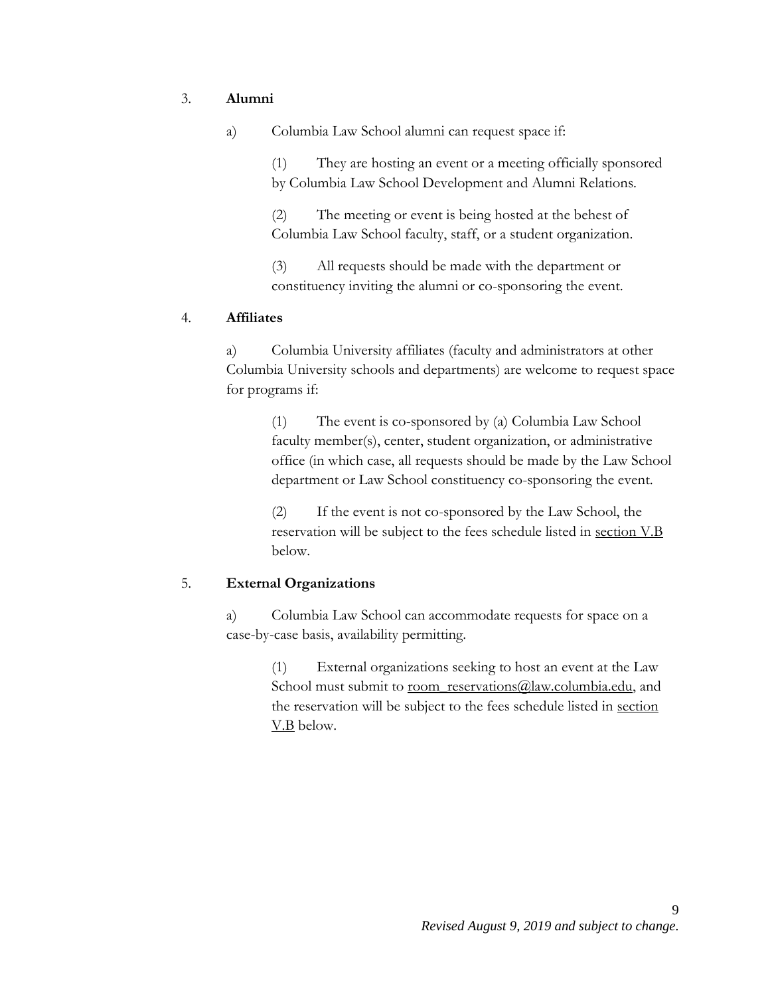#### <span id="page-8-0"></span>3. **Alumni**

a) Columbia Law School alumni can request space if:

(1) They are hosting an event or a meeting officially sponsored by Columbia Law School Development and Alumni Relations.

(2) The meeting or event is being hosted at the behest of Columbia Law School faculty, staff, or a student organization.

(3) All requests should be made with the department or constituency inviting the alumni or co-sponsoring the event.

#### <span id="page-8-1"></span>4. **Affiliates**

a) Columbia University affiliates (faculty and administrators at other Columbia University schools and departments) are welcome to request space for programs if:

> (1) The event is co-sponsored by (a) Columbia Law School faculty member(s), center, student organization, or administrative office (in which case, all requests should be made by the Law School department or Law School constituency co-sponsoring the event.

(2) If the event is not co-sponsored by the Law School, the reservation will be subject to the fees schedule listed in [section V.B](#page-9-1) below.

#### <span id="page-8-2"></span>5. **External Organizations**

a) Columbia Law School can accommodate requests for space on a case-by-case basis, availability permitting.

> (1) External organizations seeking to host an event at the Law School must submit to [room\\_reservations@law.columbia.edu,](mailto:room_reservations@law.columbia.edu) and the reservation will be subject to the fees schedule listed in [section](#page-9-1)  [V.B](#page-9-1) below.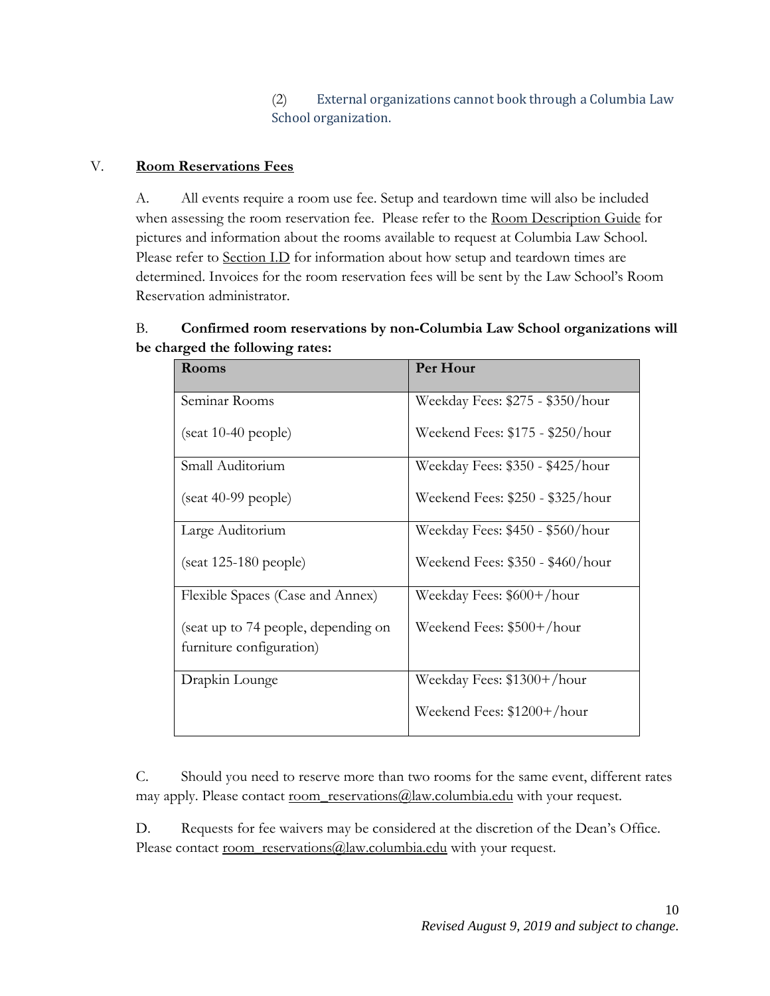(2) External organizations cannot book through a Columbia Law School organization.

## <span id="page-9-0"></span>V. **Room Reservations Fees**

A. All events require a room use fee. Setup and teardown time will also be included when assessing the room reservation fee. Please refer to the [Room Description Guide](http://www.law.columbia.edu/room-reservations) for pictures and information about the rooms available to request at Columbia Law School. Please refer to [Section I.D](#page-3-1) for information about how setup and teardown times are determined. Invoices for the room reservation fees will be sent by the Law School's Room Reservation administrator.

# <span id="page-9-1"></span>B. **Confirmed room reservations by non-Columbia Law School organizations will be charged the following rates:**

| Rooms                                                           | Per Hour                         |
|-----------------------------------------------------------------|----------------------------------|
| Seminar Rooms                                                   | Weekday Fees: \$275 - \$350/hour |
| $(s$ eat 10-40 people)                                          | Weekend Fees: \$175 - \$250/hour |
| Small Auditorium                                                | Weekday Fees: \$350 - \$425/hour |
| $(s$ eat 40-99 people)                                          | Weekend Fees: \$250 - \$325/hour |
| Large Auditorium                                                | Weekday Fees: \$450 - \$560/hour |
| $(s$ eat 125-180 people)                                        | Weekend Fees: \$350 - \$460/hour |
| Flexible Spaces (Case and Annex)                                | Weekday Fees: \$600+/hour        |
| (seat up to 74 people, depending on<br>furniture configuration) | Weekend Fees: \$500+/hour        |
|                                                                 |                                  |
| Drapkin Lounge                                                  | Weekday Fees: \$1300+/hour       |
|                                                                 | Weekend Fees: \$1200+/hour       |

C. Should you need to reserve more than two rooms for the same event, different rates may apply. Please contact [room\\_reservations@law.columbia.edu](mailto:room_reservations@law.columbia.edu) with your request.

D. Requests for fee waivers may be considered at the discretion of the Dean's Office. Please contact [room\\_reservations@law.columbia.edu](mailto:room_reservations@law.columbia.edu) with your request.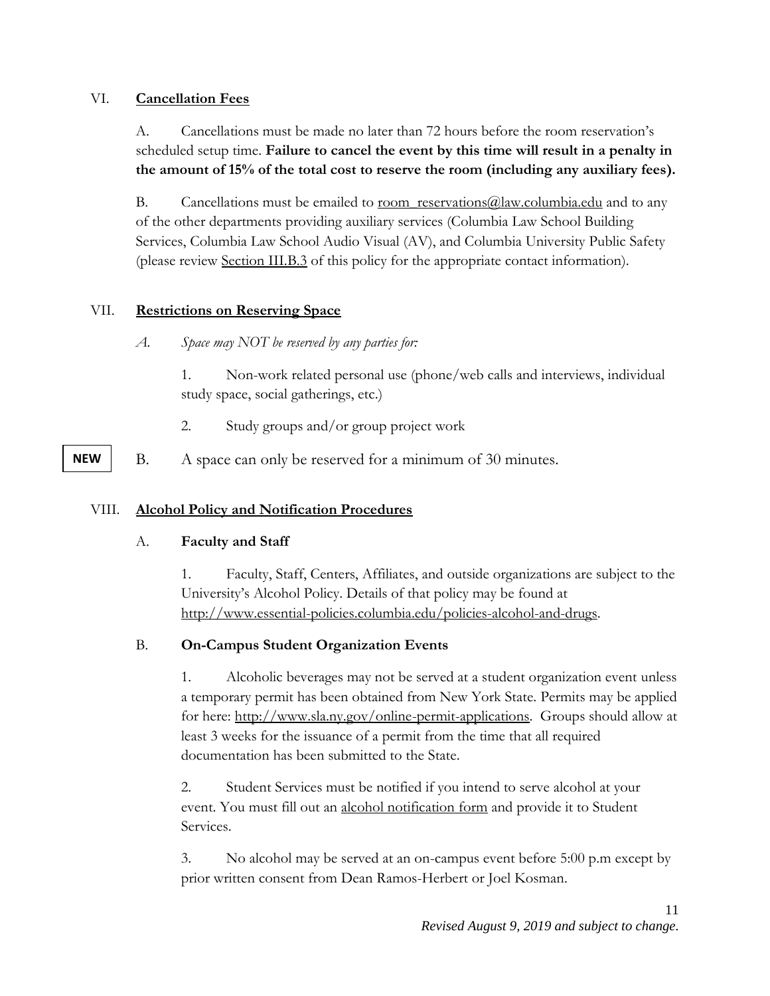#### <span id="page-10-0"></span>VI. **Cancellation Fees**

A. Cancellations must be made no later than 72 hours before the room reservation's scheduled setup time. **Failure to cancel the event by this time will result in a penalty in the amount of 15% of the total cost to reserve the room (including any auxiliary fees).**

B. Cancellations must be emailed to <u>room\_reservations@law.columbia.edu</u> and to any of the other departments providing auxiliary services (Columbia Law School Building Services, Columbia Law School Audio Visual (AV), and Columbia University Public Safety (please review [Section III.B.3](#page-5-4) of this policy for the appropriate contact information).

### <span id="page-10-1"></span>VII. **Restrictions on Reserving Space**

*A. Space may NOT be reserved by any parties for:* 

1. Non-work related personal use (phone/web calls and interviews, individual study space, social gatherings, etc.)

- 2. Study groups and/or group project work
- <span id="page-10-2"></span>B. A space can only be reserved for a minimum of 30 minutes.

### VIII. **Alcohol Policy and Notification Procedures**

### A. **Faculty and Staff**

1. Faculty, Staff, Centers, Affiliates, and outside organizations are subject to the University's Alcohol Policy. Details of that policy may be found at [http://www.essential-policies.columbia.edu/policies-alcohol-and-drugs.](http://www.essential-policies.columbia.edu/policies-alcohol-and-drugs)

### B. **On-Campus Student Organization Events**

1. Alcoholic beverages may not be served at a student organization event unless a temporary permit has been obtained from New York State. Permits may be applied for here: [http://www.sla.ny.gov/online-permit-applications.](http://www.sla.ny.gov/online-permit-applications) Groups should allow at least 3 weeks for the issuance of a permit from the time that all required documentation has been submitted to the State.

2. Student Services must be notified if you intend to serve alcohol at your event. You must fill out an [alcohol notification form](https://www.law.columbia.edu/sites/default/files/microsites/students/student-services/files/ALCOHOL-Notification-Form.pdf) and provide it to Student Services.

3. No alcohol may be served at an on-campus event before 5:00 p.m except by prior written consent from Dean Ramos-Herbert or Joel Kosman.

#### **NEW**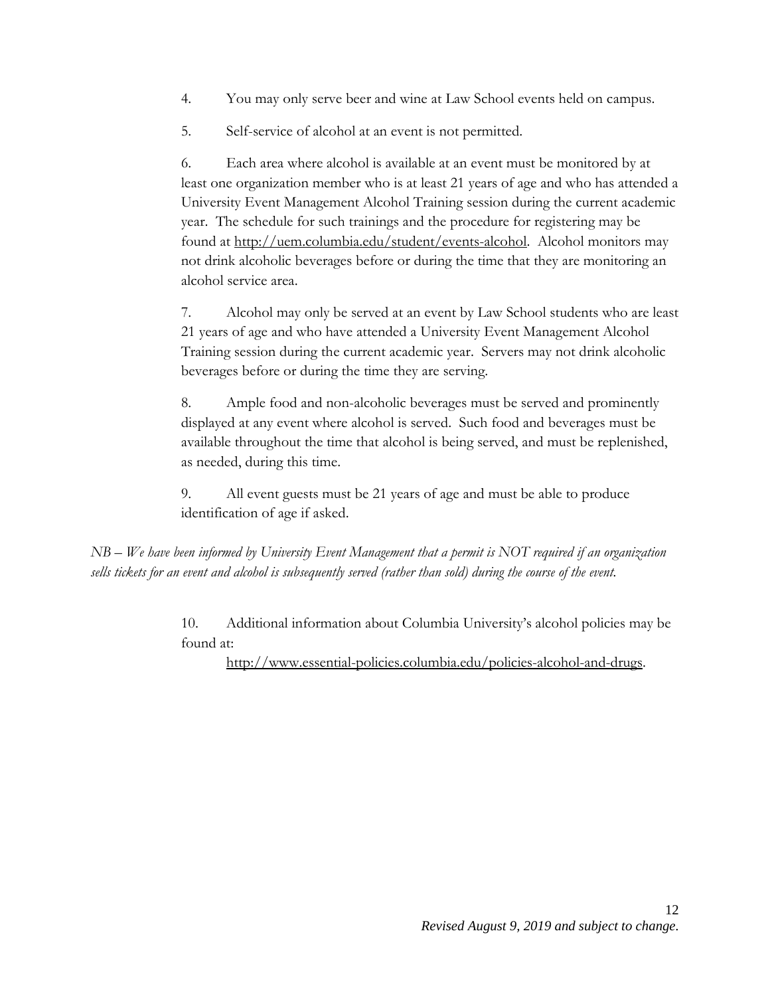- 4. You may only serve beer and wine at Law School events held on campus.
- 5. Self-service of alcohol at an event is not permitted.

6. Each area where alcohol is available at an event must be monitored by at least one organization member who is at least 21 years of age and who has attended a University Event Management Alcohol Training session during the current academic year. The schedule for such trainings and the procedure for registering may be found at [http://uem.columbia.edu/student/events-alcohol.](http://uem.columbia.edu/student/events-alcohol-0) Alcohol monitors may not drink alcoholic beverages before or during the time that they are monitoring an alcohol service area.

7. Alcohol may only be served at an event by Law School students who are least 21 years of age and who have attended a University Event Management Alcohol Training session during the current academic year. Servers may not drink alcoholic beverages before or during the time they are serving.

8. Ample food and non-alcoholic beverages must be served and prominently displayed at any event where alcohol is served. Such food and beverages must be available throughout the time that alcohol is being served, and must be replenished, as needed, during this time.

9. All event guests must be 21 years of age and must be able to produce identification of age if asked.

*NB – We have been informed by University Event Management that a permit is NOT required if an organization sells tickets for an event and alcohol is subsequently served (rather than sold) during the course of the event.*

> 10. Additional information about Columbia University's alcohol policies may be found at:

[http://www.essential-policies.columbia.edu/policies-alcohol-and-drugs.](http://www.essential-policies.columbia.edu/policies-alcohol-and-drugs)